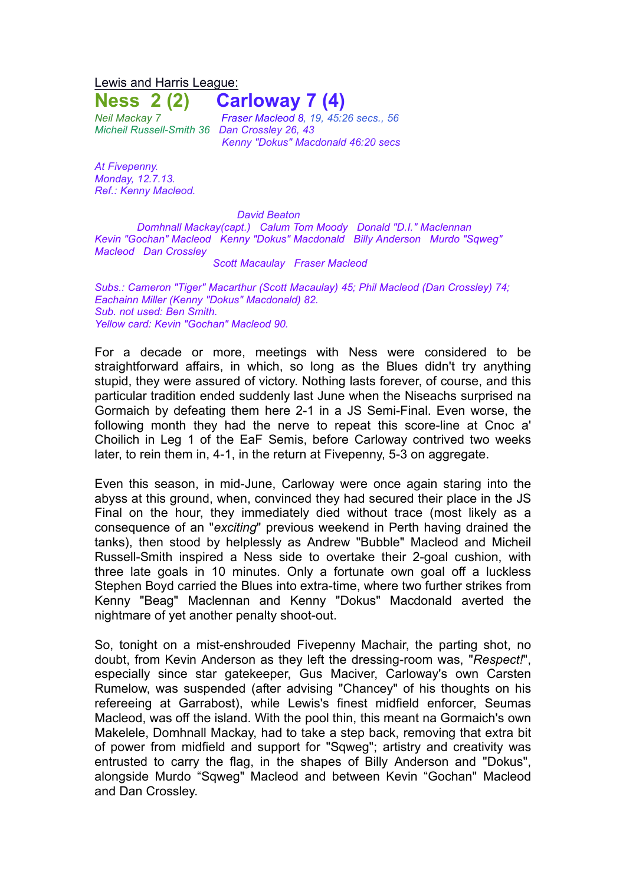Lewis and Harris League:

**Ness 2 (2) Carloway 7 (4)**

*Micheil Russell-Smith 36 Dan Crossley 26, 43*

*Neil Mackay 7 Fraser Macleod 8, 19, 45:26 secs., 56 Kenny "Dokus" Macdonald 46:20 secs*

*At Fivepenny. Monday, 12.7.13. Ref.: Kenny Macleod.*

*David Beaton*

*Domhnall Mackay(capt.) Calum Tom Moody Donald "D.I." Maclennan Kevin "Gochan" Macleod Kenny "Dokus" Macdonald Billy Anderson Murdo "Sqweg" Macleod Dan Crossley*

*Scott Macaulay Fraser Macleod*

*Subs.: Cameron "Tiger" Macarthur (Scott Macaulay) 45; Phil Macleod (Dan Crossley) 74; Eachainn Miller (Kenny "Dokus" Macdonald) 82. Sub. not used: Ben Smith. Yellow card: Kevin "Gochan" Macleod 90.*

For a decade or more, meetings with Ness were considered to be straightforward affairs, in which, so long as the Blues didn't try anything stupid, they were assured of victory. Nothing lasts forever, of course, and this particular tradition ended suddenly last June when the Niseachs surprised na Gormaich by defeating them here 2-1 in a JS Semi-Final. Even worse, the following month they had the nerve to repeat this score-line at Cnoc a' Choilich in Leg 1 of the EaF Semis, before Carloway contrived two weeks later, to rein them in, 4-1, in the return at Fivepenny, 5-3 on aggregate.

Even this season, in mid-June, Carloway were once again staring into the abyss at this ground, when, convinced they had secured their place in the JS Final on the hour, they immediately died without trace (most likely as a consequence of an "*exciting*" previous weekend in Perth having drained the tanks), then stood by helplessly as Andrew "Bubble" Macleod and Micheil Russell-Smith inspired a Ness side to overtake their 2-goal cushion, with three late goals in 10 minutes. Only a fortunate own goal off a luckless Stephen Boyd carried the Blues into extra-time, where two further strikes from Kenny "Beag" Maclennan and Kenny "Dokus" Macdonald averted the nightmare of yet another penalty shoot-out.

So, tonight on a mist-enshrouded Fivepenny Machair, the parting shot, no doubt, from Kevin Anderson as they left the dressing-room was, "*Respect!*", especially since star gatekeeper, Gus Maciver, Carloway's own Carsten Rumelow, was suspended (after advising "Chancey" of his thoughts on his refereeing at Garrabost), while Lewis's finest midfield enforcer, Seumas Macleod, was off the island. With the pool thin, this meant na Gormaich's own Makelele, Domhnall Mackay, had to take a step back, removing that extra bit of power from midfield and support for "Sqweg"; artistry and creativity was entrusted to carry the flag, in the shapes of Billy Anderson and "Dokus", alongside Murdo "Sqweg" Macleod and between Kevin "Gochan" Macleod and Dan Crossley.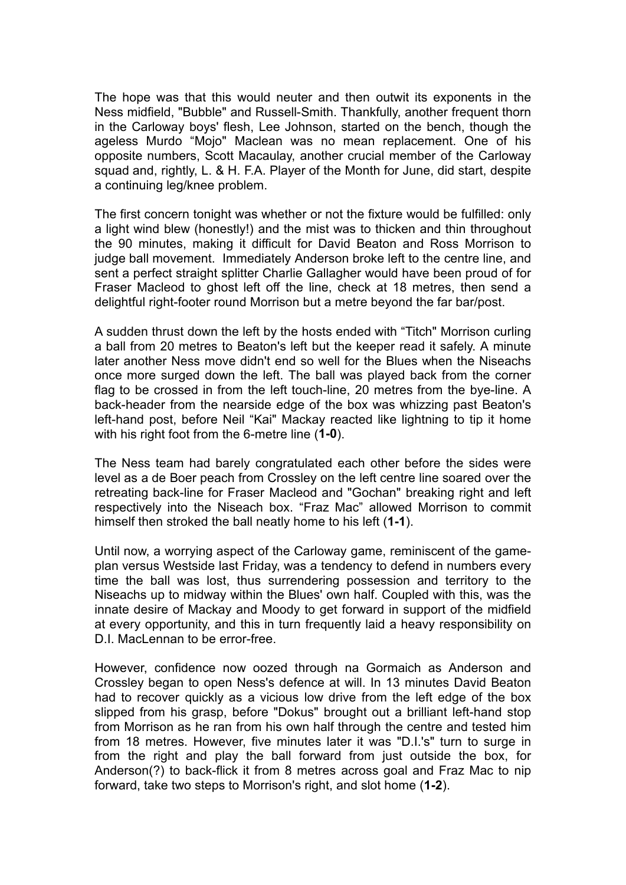The hope was that this would neuter and then outwit its exponents in the Ness midfield, "Bubble" and Russell-Smith. Thankfully, another frequent thorn in the Carloway boys' flesh, Lee Johnson, started on the bench, though the ageless Murdo "Mojo" Maclean was no mean replacement. One of his opposite numbers, Scott Macaulay, another crucial member of the Carloway squad and, rightly, L. & H. F.A. Player of the Month for June, did start, despite a continuing leg/knee problem.

The first concern tonight was whether or not the fixture would be fulfilled: only a light wind blew (honestly!) and the mist was to thicken and thin throughout the 90 minutes, making it difficult for David Beaton and Ross Morrison to judge ball movement. Immediately Anderson broke left to the centre line, and sent a perfect straight splitter Charlie Gallagher would have been proud of for Fraser Macleod to ghost left off the line, check at 18 metres, then send a delightful right-footer round Morrison but a metre beyond the far bar/post.

A sudden thrust down the left by the hosts ended with "Titch" Morrison curling a ball from 20 metres to Beaton's left but the keeper read it safely. A minute later another Ness move didn't end so well for the Blues when the Niseachs once more surged down the left. The ball was played back from the corner flag to be crossed in from the left touch-line, 20 metres from the bye-line. A back-header from the nearside edge of the box was whizzing past Beaton's left-hand post, before Neil "Kai" Mackay reacted like lightning to tip it home with his right foot from the 6-metre line (**1-0**).

The Ness team had barely congratulated each other before the sides were level as a de Boer peach from Crossley on the left centre line soared over the retreating back-line for Fraser Macleod and "Gochan" breaking right and left respectively into the Niseach box. "Fraz Mac" allowed Morrison to commit himself then stroked the ball neatly home to his left (**1-1**).

Until now, a worrying aspect of the Carloway game, reminiscent of the gameplan versus Westside last Friday, was a tendency to defend in numbers every time the ball was lost, thus surrendering possession and territory to the Niseachs up to midway within the Blues' own half. Coupled with this, was the innate desire of Mackay and Moody to get forward in support of the midfield at every opportunity, and this in turn frequently laid a heavy responsibility on D.I. MacLennan to be error-free.

However, confidence now oozed through na Gormaich as Anderson and Crossley began to open Ness's defence at will. In 13 minutes David Beaton had to recover quickly as a vicious low drive from the left edge of the box slipped from his grasp, before "Dokus" brought out a brilliant left-hand stop from Morrison as he ran from his own half through the centre and tested him from 18 metres. However, five minutes later it was "D.I.'s" turn to surge in from the right and play the ball forward from just outside the box, for Anderson(?) to back-flick it from 8 metres across goal and Fraz Mac to nip forward, take two steps to Morrison's right, and slot home (**1-2**).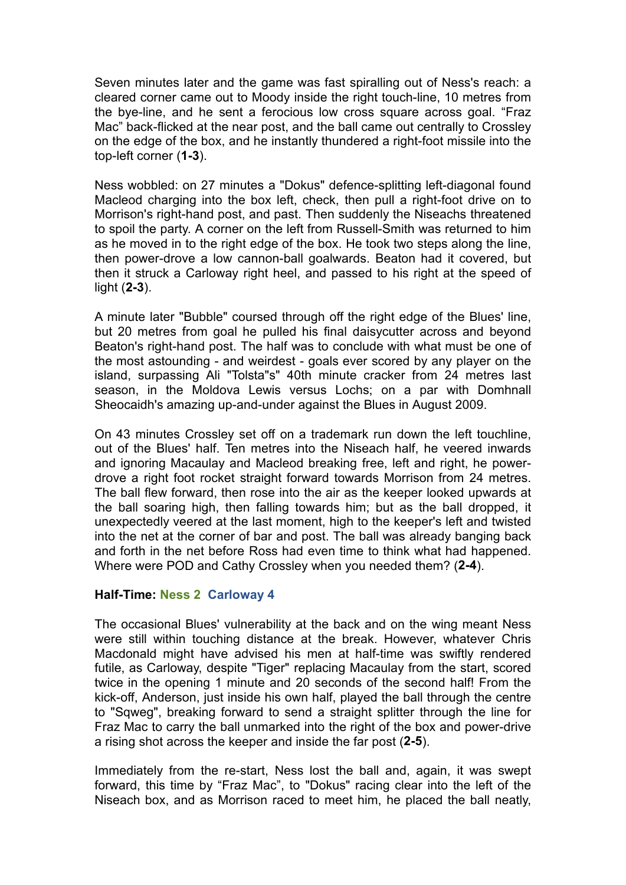Seven minutes later and the game was fast spiralling out of Ness's reach: a cleared corner came out to Moody inside the right touch-line, 10 metres from the bye-line, and he sent a ferocious low cross square across goal. "Fraz Mac" back-flicked at the near post, and the ball came out centrally to Crossley on the edge of the box, and he instantly thundered a right-foot missile into the top-left corner (**1-3**).

Ness wobbled: on 27 minutes a "Dokus" defence-splitting left-diagonal found Macleod charging into the box left, check, then pull a right-foot drive on to Morrison's right-hand post, and past. Then suddenly the Niseachs threatened to spoil the party. A corner on the left from Russell-Smith was returned to him as he moved in to the right edge of the box. He took two steps along the line, then power-drove a low cannon-ball goalwards. Beaton had it covered, but then it struck a Carloway right heel, and passed to his right at the speed of light (**2-3**).

A minute later "Bubble" coursed through off the right edge of the Blues' line, but 20 metres from goal he pulled his final daisycutter across and beyond Beaton's right-hand post. The half was to conclude with what must be one of the most astounding - and weirdest - goals ever scored by any player on the island, surpassing Ali "Tolsta"s" 40th minute cracker from 24 metres last season, in the Moldova Lewis versus Lochs; on a par with Domhnall Sheocaidh's amazing up-and-under against the Blues in August 2009.

On 43 minutes Crossley set off on a trademark run down the left touchline, out of the Blues' half. Ten metres into the Niseach half, he veered inwards and ignoring Macaulay and Macleod breaking free, left and right, he powerdrove a right foot rocket straight forward towards Morrison from 24 metres. The ball flew forward, then rose into the air as the keeper looked upwards at the ball soaring high, then falling towards him; but as the ball dropped, it unexpectedly veered at the last moment, high to the keeper's left and twisted into the net at the corner of bar and post. The ball was already banging back and forth in the net before Ross had even time to think what had happened. Where were POD and Cathy Crossley when you needed them? (**2-4**).

## **Half-Time: Ness 2 Carloway 4**

The occasional Blues' vulnerability at the back and on the wing meant Ness were still within touching distance at the break. However, whatever Chris Macdonald might have advised his men at half-time was swiftly rendered futile, as Carloway, despite "Tiger" replacing Macaulay from the start, scored twice in the opening 1 minute and 20 seconds of the second half! From the kick-off, Anderson, just inside his own half, played the ball through the centre to "Sqweg", breaking forward to send a straight splitter through the line for Fraz Mac to carry the ball unmarked into the right of the box and power-drive a rising shot across the keeper and inside the far post (**2-5**).

Immediately from the re-start, Ness lost the ball and, again, it was swept forward, this time by "Fraz Mac", to "Dokus" racing clear into the left of the Niseach box, and as Morrison raced to meet him, he placed the ball neatly,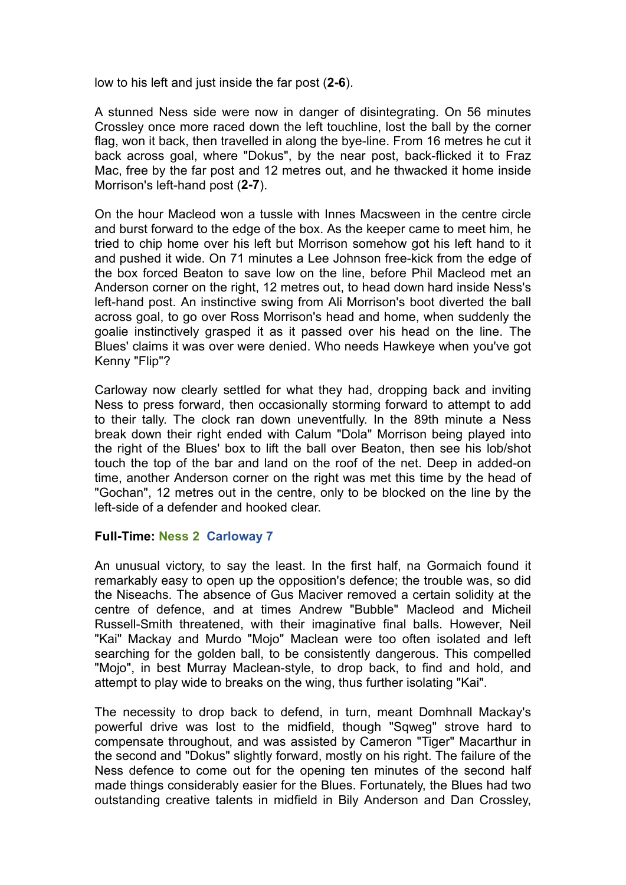low to his left and just inside the far post (**2-6**).

A stunned Ness side were now in danger of disintegrating. On 56 minutes Crossley once more raced down the left touchline, lost the ball by the corner flag, won it back, then travelled in along the bye-line. From 16 metres he cut it back across goal, where "Dokus", by the near post, back-flicked it to Fraz Mac, free by the far post and 12 metres out, and he thwacked it home inside Morrison's left-hand post (**2-7**).

On the hour Macleod won a tussle with Innes Macsween in the centre circle and burst forward to the edge of the box. As the keeper came to meet him, he tried to chip home over his left but Morrison somehow got his left hand to it and pushed it wide. On 71 minutes a Lee Johnson free-kick from the edge of the box forced Beaton to save low on the line, before Phil Macleod met an Anderson corner on the right, 12 metres out, to head down hard inside Ness's left-hand post. An instinctive swing from Ali Morrison's boot diverted the ball across goal, to go over Ross Morrison's head and home, when suddenly the goalie instinctively grasped it as it passed over his head on the line. The Blues' claims it was over were denied. Who needs Hawkeye when you've got Kenny "Flip"?

Carloway now clearly settled for what they had, dropping back and inviting Ness to press forward, then occasionally storming forward to attempt to add to their tally. The clock ran down uneventfully. In the 89th minute a Ness break down their right ended with Calum "Dola" Morrison being played into the right of the Blues' box to lift the ball over Beaton, then see his lob/shot touch the top of the bar and land on the roof of the net. Deep in added-on time, another Anderson corner on the right was met this time by the head of "Gochan", 12 metres out in the centre, only to be blocked on the line by the left-side of a defender and hooked clear.

## **Full-Time: Ness 2 Carloway 7**

An unusual victory, to say the least. In the first half, na Gormaich found it remarkably easy to open up the opposition's defence; the trouble was, so did the Niseachs. The absence of Gus Maciver removed a certain solidity at the centre of defence, and at times Andrew "Bubble" Macleod and Micheil Russell-Smith threatened, with their imaginative final balls. However, Neil "Kai" Mackay and Murdo "Mojo" Maclean were too often isolated and left searching for the golden ball, to be consistently dangerous. This compelled "Mojo", in best Murray Maclean-style, to drop back, to find and hold, and attempt to play wide to breaks on the wing, thus further isolating "Kai".

The necessity to drop back to defend, in turn, meant Domhnall Mackay's powerful drive was lost to the midfield, though "Sqweg" strove hard to compensate throughout, and was assisted by Cameron "Tiger" Macarthur in the second and "Dokus" slightly forward, mostly on his right. The failure of the Ness defence to come out for the opening ten minutes of the second half made things considerably easier for the Blues. Fortunately, the Blues had two outstanding creative talents in midfield in Bily Anderson and Dan Crossley,